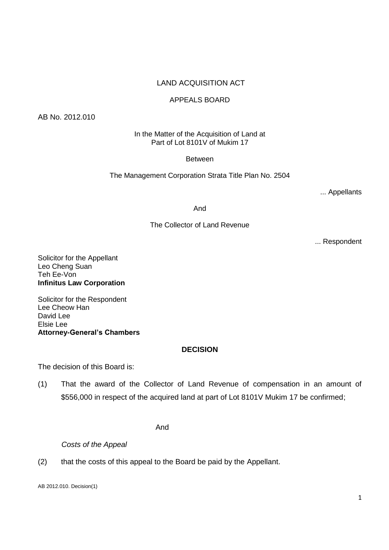# LAND ACQUISITION ACT

## APPEALS BOARD

AB No. 2012.010

In the Matter of the Acquisition of Land at Part of Lot 8101V of Mukim 17

#### Between

The Management Corporation Strata Title Plan No. 2504

... Appellants

And

## The Collector of Land Revenue

... Respondent

Solicitor for the Appellant Leo Cheng Suan Teh Ee-Von **Infinitus Law Corporation**

Solicitor for the Respondent Lee Cheow Han David Lee Elsie Lee **Attorney-General's Chambers**

### **DECISION**

The decision of this Board is:

(1) That the award of the Collector of Land Revenue of compensation in an amount of \$556,000 in respect of the acquired land at part of Lot 8101V Mukim 17 be confirmed;

And

*Costs of the Appeal*

(2) that the costs of this appeal to the Board be paid by the Appellant.

AB 2012.010. Decision(1)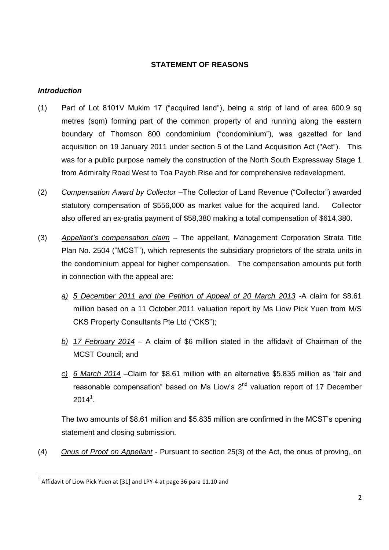## **STATEMENT OF REASONS**

## *Introduction*

- (1) Part of Lot 8101V Mukim 17 ("acquired land"), being a strip of land of area 600.9 sq metres (sqm) forming part of the common property of and running along the eastern boundary of Thomson 800 condominium ("condominium"), was gazetted for land acquisition on 19 January 2011 under section 5 of the Land Acquisition Act ("Act"). This was for a public purpose namely the construction of the North South Expressway Stage 1 from Admiralty Road West to Toa Payoh Rise and for comprehensive redevelopment.
- (2) *Compensation Award by Collector –*The Collector of Land Revenue ("Collector") awarded statutory compensation of \$556,000 as market value for the acquired land. Collector also offered an ex-gratia payment of \$58,380 making a total compensation of \$614,380.
- (3) *Appellant's compensation claim* The appellant, Management Corporation Strata Title Plan No. 2504 ("MCST"), which represents the subsidiary proprietors of the strata units in the condominium appeal for higher compensation. The compensation amounts put forth in connection with the appeal are:
	- *a) 5 December 2011 and the Petition of Appeal of 20 March 2013 -*A claim for \$8.61 million based on a 11 October 2011 valuation report by Ms Liow Pick Yuen from M/S CKS Property Consultants Pte Ltd ("CKS");
	- *b) 17 February 2014 –* A claim of \$6 million stated in the affidavit of Chairman of the MCST Council; and
	- *c) 6 March 2014 –*Claim for \$8.61 million with an alternative \$5.835 million as "fair and reasonable compensation" based on Ms Liow's 2<sup>nd</sup> valuation report of 17 December  $2014^1$ .

The two amounts of \$8.61 million and \$5.835 million are confirmed in the MCST's opening statement and closing submission.

(4) *Onus of Proof on Appellant* - Pursuant to section 25(3) of the Act, the onus of proving, on

 $^1$  Affidavit of Liow Pick Yuen at [31] and LPY-4 at page 36 para 11.10 and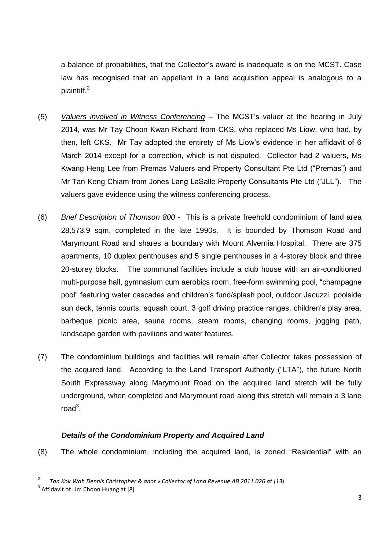a balance of probabilities, that the Collector's award is inadequate is on the MCST. Case law has recognised that an appellant in a land acquisition appeal is analogous to a plaintiff.<sup>2</sup>

- (5) *Valuers involved in Witness Conferencing* The MCST's valuer at the hearing in July 2014, was Mr Tay Choon Kwan Richard from CKS, who replaced Ms Liow, who had, by then, left CKS. Mr Tay adopted the entirety of Ms Liow's evidence in her affidavit of 6 March 2014 except for a correction, which is not disputed. Collector had 2 valuers, Ms Kwang Heng Lee from Premas Valuers and Property Consultant Pte Ltd ("Premas") and Mr Tan Keng Chiam from Jones Lang LaSalle Property Consultants Pte Ltd ("JLL"). The valuers gave evidence using the witness conferencing process.
- (6) *Brief Description of Thomson 800* This is a private freehold condominium of land area 28,573.9 sqm, completed in the late 1990s. It is bounded by Thomson Road and Marymount Road and shares a boundary with Mount Alvernia Hospital. There are 375 apartments, 10 duplex penthouses and 5 single penthouses in a 4-storey block and three 20-storey blocks. The communal facilities include a club house with an air-conditioned multi-purpose hall, gymnasium cum aerobics room, free-form swimming pool, "champagne pool" featuring water cascades and children's fund/splash pool, outdoor Jacuzzi, poolside sun deck, tennis courts, squash court, 3 golf driving practice ranges, children's play area, barbeque picnic area, sauna rooms, steam rooms, changing rooms, jogging path, landscape garden with pavilions and water features.
- (7) The condominium buildings and facilities will remain after Collector takes possession of the acquired land. According to the Land Transport Authority ("LTA"), the future North South Expressway along Marymount Road on the acquired land stretch will be fully underground, when completed and Marymount road along this stretch will remain a 3 lane  $road$ <sup>3</sup>.

### *Details of the Condominium Property and Acquired Land*

(8) The whole condominium, including the acquired land, is zoned "Residential" with an

**<sup>.</sup>** 2 *Tan Kok Wah Dennis Christopher & anor v Collector of Land Revenue AB 2011.026 at [13]*

 $3$  Affidavit of Lim Choon Huang at [8]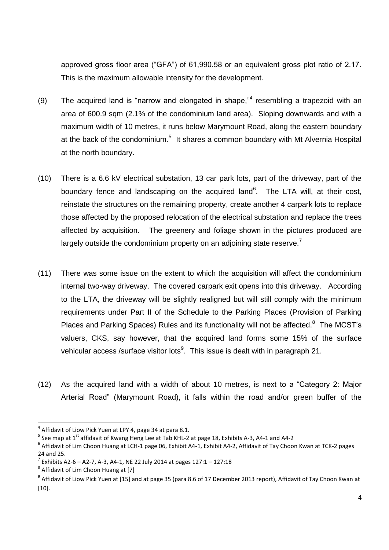approved gross floor area ("GFA") of 61,990.58 or an equivalent gross plot ratio of 2.17. This is the maximum allowable intensity for the development.

- (9) The acquired land is "narrow and elongated in shape," resembling a trapezoid with an area of 600.9 sqm (2.1% of the condominium land area). Sloping downwards and with a maximum width of 10 metres, it runs below Marymount Road, along the eastern boundary at the back of the condominium.<sup>5</sup> It shares a common boundary with Mt Alvernia Hospital at the north boundary.
- (10) There is a 6.6 kV electrical substation, 13 car park lots, part of the driveway, part of the boundary fence and landscaping on the acquired land<sup>6</sup>. The LTA will, at their cost, reinstate the structures on the remaining property, create another 4 carpark lots to replace those affected by the proposed relocation of the electrical substation and replace the trees affected by acquisition. The greenery and foliage shown in the pictures produced are largely outside the condominium property on an adjoining state reserve.<sup>7</sup>
- (11) There was some issue on the extent to which the acquisition will affect the condominium internal two-way driveway. The covered carpark exit opens into this driveway. According to the LTA, the driveway will be slightly realigned but will still comply with the minimum requirements under Part II of the Schedule to the Parking Places (Provision of Parking Places and Parking Spaces) Rules and its functionality will not be affected.<sup>8</sup> The MCST's valuers, CKS, say however, that the acquired land forms some 15% of the surface vehicular access /surface visitor lots $9$ . This issue is dealt with in paragraph 21.
- (12) As the acquired land with a width of about 10 metres, is next to a "Category 2: Major Arterial Road" (Marymount Road), it falls within the road and/or green buffer of the

**<sup>.</sup>**  $^4$  Affidavit of Liow Pick Yuen at LPY 4, page 34 at para 8.1.

 $^5$  See map at 1<sup>st</sup> affidavit of Kwang Heng Lee at Tab KHL-2 at page 18, Exhibits A-3, A4-1 and A4-2

 $^6$  Affidavit of Lim Choon Huang at LCH-1 page 06, Exhibit A4-1, Exhibit A4-2, Affidavit of Tay Choon Kwan at TCK-2 pages 24 and 25.

 $^7$  Exhibits A2-6 – A2-7, A-3, A4-1, NE 22 July 2014 at pages 127:1 – 127:18

<sup>&</sup>lt;sup>8</sup> Affidavit of Lim Choon Huang at [7]

 $^9$  Affidavit of Liow Pick Yuen at [15] and at page 35 (para 8.6 of 17 December 2013 report), Affidavit of Tay Choon Kwan at [10].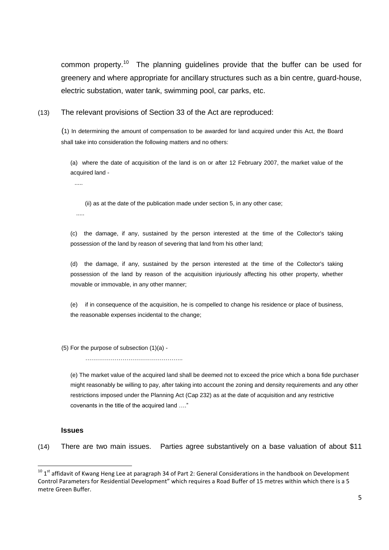common property.<sup>10</sup> The planning guidelines provide that the buffer can be used for greenery and where appropriate for ancillary structures such as a bin centre, guard-house, electric substation, water tank, swimming pool, car parks, etc.

(13) The relevant provisions of Section 33 of the Act are reproduced:

(1) In determining the amount of compensation to be awarded for land acquired under this Act, the Board shall take into consideration the following matters and no others:

(a) where the date of acquisition of the land is on or after 12 February 2007, the market value of the acquired land -

.....

(ii) as at the date of the publication made under section 5, in any other case;

.....

(c) the damage, if any, sustained by the person interested at the time of the Collector's taking possession of the land by reason of severing that land from his other land;

(d) the damage, if any, sustained by the person interested at the time of the Collector's taking possession of the land by reason of the acquisition injuriously affecting his other property, whether movable or immovable, in any other manner;

(e) if in consequence of the acquisition, he is compelled to change his residence or place of business, the reasonable expenses incidental to the change;

(5) For the purpose of subsection (1)(a) -

…………………………………………..

(e) The market value of the acquired land shall be deemed not to exceed the price which a bona fide purchaser might reasonably be willing to pay, after taking into account the zoning and density requirements and any other restrictions imposed under the Planning Act (Cap 232) as at the date of acquisition and any restrictive covenants in the title of the acquired land …."

#### **Issues**

**.** 

(14) There are two main issues. Parties agree substantively on a base valuation of about \$11

 $10^{-15}$  1<sup>st</sup> affidavit of Kwang Heng Lee at paragraph 34 of Part 2: General Considerations in the handbook on Development Control Parameters for Residential Development" which requires a Road Buffer of 15 metres within which there is a 5 metre Green Buffer.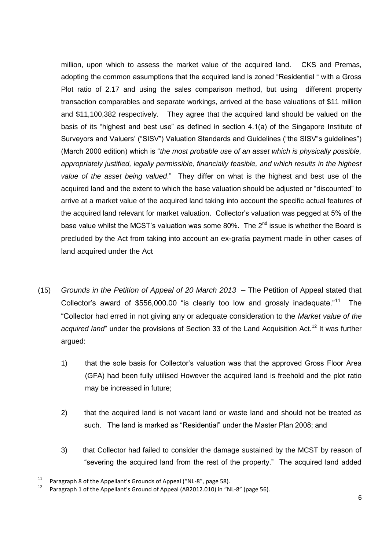million, upon which to assess the market value of the acquired land. CKS and Premas, adopting the common assumptions that the acquired land is zoned "Residential " with a Gross Plot ratio of 2.17 and using the sales comparison method, but using different property transaction comparables and separate workings, arrived at the base valuations of \$11 million and \$11,100,382 respectively. They agree that the acquired land should be valued on the basis of its "highest and best use" as defined in section 4.1(a) of the Singapore Institute of Surveyors and Valuers' ("SISV") Valuation Standards and Guidelines ("the SISV"s guidelines") (March 2000 edition) which is "*the most probable use of an asset which is physically possible, appropriately justified, legally permissible, financially feasible, and which results in the highest value of the asset being valued*." They differ on what is the highest and best use of the acquired land and the extent to which the base valuation should be adjusted or "discounted" to arrive at a market value of the acquired land taking into account the specific actual features of the acquired land relevant for market valuation. Collector's valuation was pegged at 5% of the base value whilst the MCST's valuation was some 80%. The 2<sup>nd</sup> issue is whether the Board is precluded by the Act from taking into account an ex-gratia payment made in other cases of land acquired under the Act

- (15) *Grounds in the Petition of Appeal of 20 March 2013*  The Petition of Appeal stated that Collector's award of \$556,000.00 "is clearly too low and grossly inadequate."<sup>11</sup> The "Collector had erred in not giving any or adequate consideration to the *Market value of the acquired land*" under the provisions of Section 33 of the Land Acquisition Act.<sup>12</sup> It was further argued:
	- 1) that the sole basis for Collector's valuation was that the approved Gross Floor Area (GFA) had been fully utilised However the acquired land is freehold and the plot ratio may be increased in future;
	- 2) that the acquired land is not vacant land or waste land and should not be treated as such. The land is marked as "Residential" under the Master Plan 2008; and
	- 3) that Collector had failed to consider the damage sustained by the MCST by reason of "severing the acquired land from the rest of the property." The acquired land added

 $11$ Paragraph 8 of the Appellant's Grounds of Appeal ("NL-8", page 58).

<sup>12</sup> Paragraph 1 of the Appellant's Ground of Appeal (AB2012.010) in "NL-8" (page 56).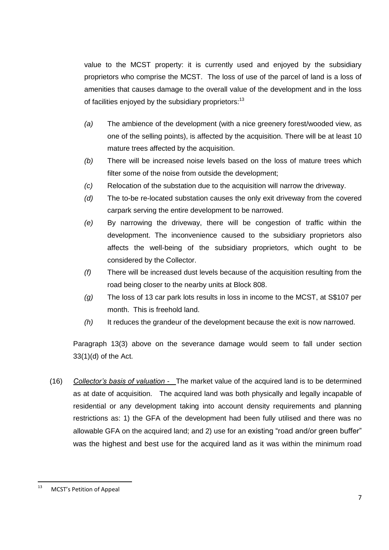value to the MCST property: it is currently used and enjoyed by the subsidiary proprietors who comprise the MCST. The loss of use of the parcel of land is a loss of amenities that causes damage to the overall value of the development and in the loss of facilities enjoyed by the subsidiary proprietors:<sup>13</sup>

- *(a)* The ambience of the development (with a nice greenery forest/wooded view, as one of the selling points), is affected by the acquisition. There will be at least 10 mature trees affected by the acquisition.
- *(b)* There will be increased noise levels based on the loss of mature trees which filter some of the noise from outside the development;
- *(c)* Relocation of the substation due to the acquisition will narrow the driveway.
- *(d)* The to-be re-located substation causes the only exit driveway from the covered carpark serving the entire development to be narrowed.
- *(e)* By narrowing the driveway, there will be congestion of traffic within the development. The inconvenience caused to the subsidiary proprietors also affects the well-being of the subsidiary proprietors, which ought to be considered by the Collector.
- *(f)* There will be increased dust levels because of the acquisition resulting from the road being closer to the nearby units at Block 808.
- *(g)* The loss of 13 car park lots results in loss in income to the MCST, at S\$107 per month. This is freehold land.
- *(h)* It reduces the grandeur of the development because the exit is now narrowed.

Paragraph 13(3) above on the severance damage would seem to fall under section 33(1)(d) of the Act.

(16) *Collector's basis of valuation -* The market value of the acquired land is to be determined as at date of acquisition. The acquired land was both physically and legally incapable of residential or any development taking into account density requirements and planning restrictions as: 1) the GFA of the development had been fully utilised and there was no allowable GFA on the acquired land; and 2) use for an existing "road and/or green buffer" was the highest and best use for the acquired land as it was within the minimum road

 $\frac{1}{13}$ MCST's Petition of Appeal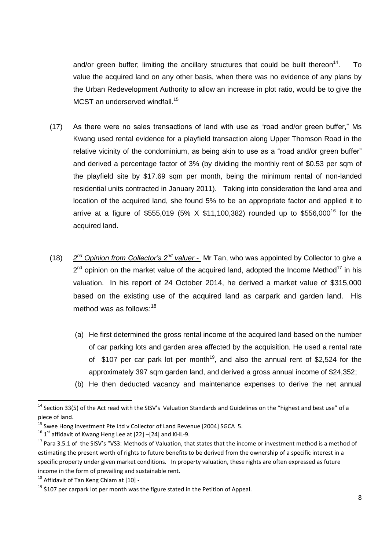and/or green buffer; limiting the ancillary structures that could be built thereon<sup>14</sup>. . To value the acquired land on any other basis, when there was no evidence of any plans by the Urban Redevelopment Authority to allow an increase in plot ratio, would be to give the MCST an underserved windfall.<sup>15</sup>

- (17) As there were no sales transactions of land with use as "road and/or green buffer," Ms Kwang used rental evidence for a playfield transaction along Upper Thomson Road in the relative vicinity of the condominium, as being akin to use as a "road and/or green buffer" and derived a percentage factor of 3% (by dividing the monthly rent of \$0.53 per sqm of the playfield site by \$17.69 sqm per month, being the minimum rental of non-landed residential units contracted in January 2011). Taking into consideration the land area and location of the acquired land, she found 5% to be an appropriate factor and applied it to arrive at a figure of \$555,019 (5% X \$11,100,382) rounded up to \$556,000<sup>16</sup> for the acquired land.
- (18) *2 nd Opinion from Collector's 2nd valuer -* Mr Tan, who was appointed by Collector to give a  $2^{nd}$  opinion on the market value of the acquired land, adopted the Income Method<sup>17</sup> in his valuation. In his report of 24 October 2014, he derived a market value of \$315,000 based on the existing use of the acquired land as carpark and garden land. His method was as follows:<sup>18</sup>
	- (a) He first determined the gross rental income of the acquired land based on the number of car parking lots and garden area affected by the acquisition. He used a rental rate of \$107 per car park lot per month<sup>19</sup>, and also the annual rent of \$2,524 for the approximately 397 sqm garden land, and derived a gross annual income of \$24,352;
	- (b) He then deducted vacancy and maintenance expenses to derive the net annual

 $14$  Section 33(5) of the Act read with the SISV's Valuation Standards and Guidelines on the "highest and best use" of a piece of land.

<sup>&</sup>lt;sup>15</sup> Swee Hong Investment Pte Ltd v Collector of Land Revenue [2004] SGCA 5.

 $^{16}$  1<sup>st</sup> affidavit of Kwang Heng Lee at [22] -[24] and KHL-9.

<sup>&</sup>lt;sup>17</sup> Para 3.5.1 of the SISV's "VS3: Methods of Valuation, that states that the income or investment method is a method of estimating the present worth of rights to future benefits to be derived from the ownership of a specific interest in a specific property under given market conditions. In property valuation, these rights are often expressed as future income in the form of prevailing and sustainable rent.

 $18$  Affidavit of Tan Keng Chiam at [10] -

 $19$  \$107 per carpark lot per month was the figure stated in the Petition of Appeal.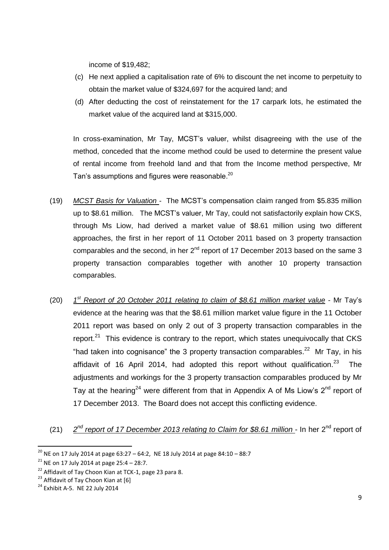income of \$19,482;

- (c) He next applied a capitalisation rate of 6% to discount the net income to perpetuity to obtain the market value of \$324,697 for the acquired land; and
- (d) After deducting the cost of reinstatement for the 17 carpark lots, he estimated the market value of the acquired land at \$315,000.

In cross-examination, Mr Tay, MCST's valuer, whilst disagreeing with the use of the method, conceded that the income method could be used to determine the present value of rental income from freehold land and that from the Income method perspective, Mr Tan's assumptions and figures were reasonable.<sup>20</sup>

- (19) *MCST Basis for Valuation*  The MCST's compensation claim ranged from \$5.835 million up to \$8.61 million. The MCST's valuer, Mr Tay, could not satisfactorily explain how CKS, through Ms Liow, had derived a market value of \$8.61 million using two different approaches, the first in her report of 11 October 2011 based on 3 property transaction comparables and the second, in her 2<sup>nd</sup> report of 17 December 2013 based on the same 3 property transaction comparables together with another 10 property transaction comparables.
- $(20)$ *st Report of 20 October 2011 relating to claim of \$8.61 million market value* - Mr Tay's evidence at the hearing was that the \$8.61 million market value figure in the 11 October 2011 report was based on only 2 out of 3 property transaction comparables in the report. $21$  This evidence is contrary to the report, which states unequivocally that CKS "had taken into cognisance" the 3 property transaction comparables.<sup>22</sup> Mr Tay, in his affidavit of 16 April 2014, had adopted this report without qualification.<sup>23</sup> The adjustments and workings for the 3 property transaction comparables produced by Mr Tay at the hearing<sup>24</sup> were different from that in Appendix A of Ms Liow's  $2<sup>nd</sup>$  report of 17 December 2013. The Board does not accept this conflicting evidence.
- $(21)$ <sup>nd</sup> report of 17 December 2013 relating to Claim for \$8.61 million - In her 2<sup>nd</sup> report of

1

<sup>&</sup>lt;sup>20</sup> NE on 17 July 2014 at page 63:27 – 64:2, NE 18 July 2014 at page 84:10 – 88:7

<sup>&</sup>lt;sup>21</sup> NE on 17 July 2014 at page 25:4 – 28:7.

<sup>&</sup>lt;sup>22</sup> Affidavit of Tay Choon Kian at TCK-1, page 23 para 8.

<sup>&</sup>lt;sup>23</sup> Affidavit of Tay Choon Kian at [6]

<sup>24</sup> Exhibit A-5. NE 22 July 2014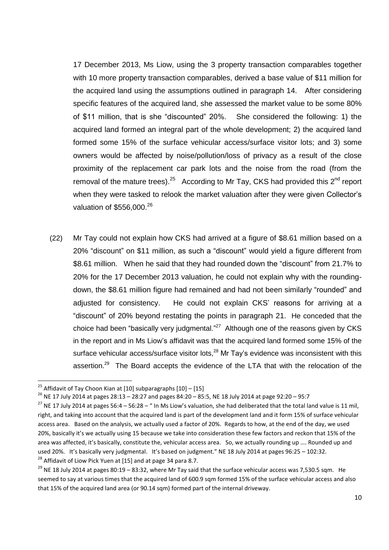17 December 2013, Ms Liow, using the 3 property transaction comparables together with 10 more property transaction comparables, derived a base value of \$11 million for the acquired land using the assumptions outlined in paragraph 14. After considering specific features of the acquired land, she assessed the market value to be some 80% of \$11 million, that is she "discounted" 20%. She considered the following: 1) the acquired land formed an integral part of the whole development; 2) the acquired land formed some 15% of the surface vehicular access/surface visitor lots; and 3) some owners would be affected by noise/pollution/loss of privacy as a result of the close proximity of the replacement car park lots and the noise from the road (from the removal of the mature trees).<sup>25</sup> According to Mr Tay, CKS had provided this  $2^{nd}$  report when they were tasked to relook the market valuation after they were given Collector's valuation of  $$556.000.<sup>26</sup>$ 

(22) Mr Tay could not explain how CKS had arrived at a figure of \$8.61 million based on a 20% "discount" on \$11 million, as such a "discount" would yield a figure different from \$8.61 million. When he said that they had rounded down the "discount" from 21.7% to 20% for the 17 December 2013 valuation, he could not explain why with the roundingdown, the \$8.61 million figure had remained and had not been similarly "rounded" and adjusted for consistency. He could not explain CKS' reasons for arriving at a "discount" of 20% beyond restating the points in paragraph 21. He conceded that the choice had been "basically very judgmental." $^{27}$  Although one of the reasons given by CKS in the report and in Ms Liow's affidavit was that the acquired land formed some 15% of the surface vehicular access/surface visitor lots,<sup>28</sup> Mr Tay's evidence was inconsistent with this assertion.<sup>29</sup> The Board accepts the evidence of the LTA that with the relocation of the

1

<sup>&</sup>lt;sup>25</sup> Affidavit of Tay Choon Kian at [10] subparagraphs  $[10] - [15]$ 

<sup>26</sup> NE 17 July 2014 at pages 28:13 – 28:27 and pages 84:20 – 85:5, NE 18 July 2014 at page 92:20 – 95:7

<sup>&</sup>lt;sup>27</sup> NE 17 July 2014 at pages 56:4 - 56:28 - " In Ms Liow's valuation, she had deliberated that the total land value is 11 mil, right, and taking into account that the acquired land is part of the development land and it form 15% of surface vehicular access area. Based on the analysis, we actually used a factor of 20%. Regards to how, at the end of the day, we used 20%, basically it's we actually using 15 because we take into consideration these few factors and reckon that 15% of the area was affected, it's basically, constitute the, vehicular access area. So, we actually rounding up …. Rounded up and used 20%. It's basically very judgmental. It's based on judgment." NE 18 July 2014 at pages 96:25 – 102:32. <sup>28</sup> Affidavit of Liow Pick Yuen at [15] and at page 34 para 8.7.

 $^{29}$  NE 18 July 2014 at pages 80:19 – 83:32, where Mr Tay said that the surface vehicular access was 7,530.5 sqm. He seemed to say at various times that the acquired land of 600.9 sqm formed 15% of the surface vehicular access and also that 15% of the acquired land area (or 90.14 sqm) formed part of the internal driveway.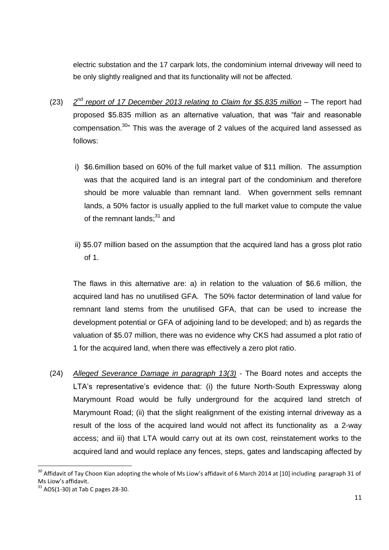electric substation and the 17 carpark lots, the condominium internal driveway will need to be only slightly realigned and that its functionality will not be affected.

- $(23)$ 2<sup>nd</sup> report of 17 December 2013 relating to Claim for \$5.835 million – The report had proposed \$5.835 million as an alternative valuation, that was "fair and reasonable compensation.<sup>30</sup>" This was the average of 2 values of the acquired land assessed as follows:
	- i) \$6.6million based on 60% of the full market value of \$11 million. The assumption was that the acquired land is an integral part of the condominium and therefore should be more valuable than remnant land. When government sells remnant lands, a 50% factor is usually applied to the full market value to compute the value of the remnant lands;<sup>31</sup> and
	- ii) \$5.07 million based on the assumption that the acquired land has a gross plot ratio of 1.

The flaws in this alternative are: a) in relation to the valuation of \$6.6 million, the acquired land has no unutilised GFA. The 50% factor determination of land value for remnant land stems from the unutilised GFA, that can be used to increase the development potential or GFA of adjoining land to be developed; and b) as regards the valuation of \$5.07 million, there was no evidence why CKS had assumed a plot ratio of 1 for the acquired land, when there was effectively a zero plot ratio.

(24) *Alleged Severance Damage in paragraph 13(3)* - The Board notes and accepts the LTA's representative's evidence that: (i) the future North-South Expressway along Marymount Road would be fully underground for the acquired land stretch of Marymount Road; (ii) that the slight realignment of the existing internal driveway as a result of the loss of the acquired land would not affect its functionality as a 2-way access; and iii) that LTA would carry out at its own cost, reinstatement works to the acquired land and would replace any fences, steps, gates and landscaping affected by

 $^{30}$  Affidavit of Tay Choon Kian adopting the whole of Ms Liow's affidavit of 6 March 2014 at [10] including paragraph 31 of Ms Liow's affidavit.

 $31$  AOS(1-30) at Tab C pages 28-30.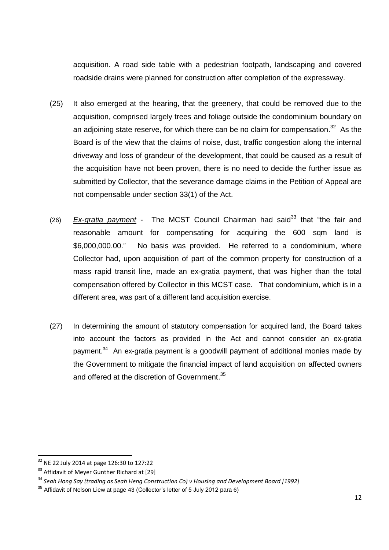acquisition. A road side table with a pedestrian footpath, landscaping and covered roadside drains were planned for construction after completion of the expressway.

- (25) It also emerged at the hearing, that the greenery, that could be removed due to the acquisition, comprised largely trees and foliage outside the condominium boundary on an adjoining state reserve, for which there can be no claim for compensation.<sup>32</sup> As the Board is of the view that the claims of noise, dust, traffic congestion along the internal driveway and loss of grandeur of the development, that could be caused as a result of the acquisition have not been proven, there is no need to decide the further issue as submitted by Collector, that the severance damage claims in the Petition of Appeal are not compensable under section 33(1) of the Act.
- (26) *Ex-gratia payment* The MCST Council Chairman had said<sup>33</sup> that "the fair and reasonable amount for compensating for acquiring the 600 sqm land is \$6,000,000.00." No basis was provided. He referred to a condominium, where Collector had, upon acquisition of part of the common property for construction of a mass rapid transit line, made an ex-gratia payment, that was higher than the total compensation offered by Collector in this MCST case. That condominium, which is in a different area, was part of a different land acquisition exercise.
- (27) In determining the amount of statutory compensation for acquired land, the Board takes into account the factors as provided in the Act and cannot consider an ex-gratia payment.<sup>34</sup> An ex-gratia payment is a goodwill payment of additional monies made by the Government to mitigate the financial impact of land acquisition on affected owners and offered at the discretion of Government.<sup>35</sup>

 $32$  NE 22 July 2014 at page 126:30 to 127:22

<sup>&</sup>lt;sup>33</sup> Affidavit of Meyer Gunther Richard at [29]

*<sup>34</sup> Seah Hong Say (trading as Seah Heng Construction Co) v Housing and Development Board [1992]* 

<sup>35</sup> Affidavit of Nelson Liew at page 43 (Collector's letter of 5 July 2012 para 6)